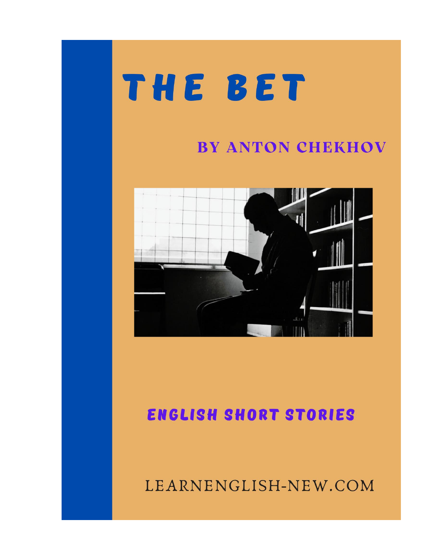## THE BET

## **BY ANTON CHEKHOV**



## **ENGLISH SHORT STORIES**

LEARNENGLISH-NEW.COM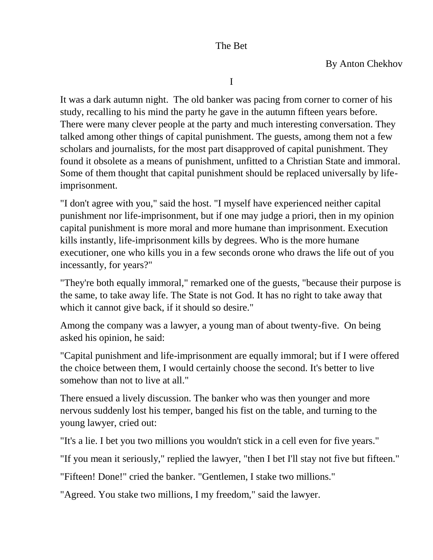I

It was a dark autumn night. The old banker was pacing from corner to corner of his study, recalling to his mind the party he gave in the autumn fifteen years before. There were many clever people at the party and much interesting conversation. They talked among other things of capital punishment. The guests, among them not a few scholars and journalists, for the most part disapproved of capital punishment. They found it obsolete as a means of punishment, unfitted to a Christian State and immoral. Some of them thought that capital punishment should be replaced universally by lifeimprisonment.

"I don't agree with you," said the host. "I myself have experienced neither capital punishment nor life-imprisonment, but if one may judge a priori, then in my opinion capital punishment is more moral and more humane than imprisonment. Execution kills instantly, life-imprisonment kills by degrees. Who is the more humane executioner, one who kills you in a few seconds orone who draws the life out of you incessantly, for years?"

"They're both equally immoral," remarked one of the guests, "because their purpose is the same, to take away life. The State is not God. It has no right to take away that which it cannot give back, if it should so desire."

Among the company was a lawyer, a young man of about twenty-five. On being asked his opinion, he said:

"Capital punishment and life-imprisonment are equally immoral; but if I were offered the choice between them, I would certainly choose the second. It's better to live somehow than not to live at all."

There ensued a lively discussion. The banker who was then younger and more nervous suddenly lost his temper, banged his fist on the table, and turning to the young lawyer, cried out:

"It's a lie. I bet you two millions you wouldn't stick in a cell even for five years."

"If you mean it seriously," replied the lawyer, "then I bet I'll stay not five but fifteen."

"Fifteen! Done!" cried the banker. "Gentlemen, I stake two millions."

"Agreed. You stake two millions, I my freedom," said the lawyer.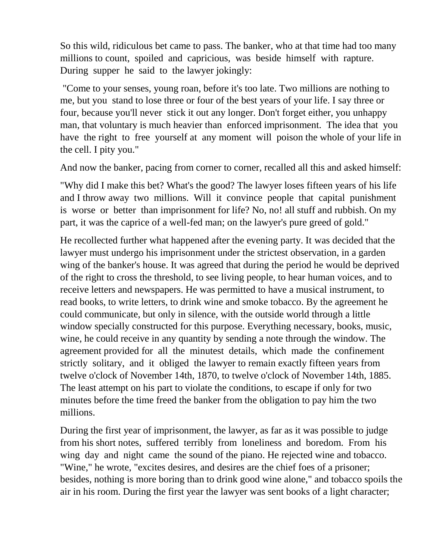So this wild, ridiculous bet came to pass. The banker, who at that time had too many millions to count, spoiled and capricious, was beside himself with rapture. During supper he said to the lawyer jokingly:

"Come to your senses, young roan, before it's too late. Two millions are nothing to me, but you stand to lose three or four of the best years of your life. I say three or four, because you'll never stick it out any longer. Don't forget either, you unhappy man, that voluntary is much heavier than enforced imprisonment. The idea that you have the right to free yourself at any moment will poison the whole of your life in the cell. I pity you."

And now the banker, pacing from corner to corner, recalled all this and asked himself:

"Why did I make this bet? What's the good? The lawyer loses fifteen years of his life and I throw away two millions. Will it convince people that capital punishment is worse or better than imprisonment for life? No, no! all stuff and rubbish. On my part, it was the caprice of a well-fed man; on the lawyer's pure greed of gold."

He recollected further what happened after the evening party. It was decided that the lawyer must undergo his imprisonment under the strictest observation, in a garden wing of the banker's house. It was agreed that during the period he would be deprived of the right to cross the threshold, to see living people, to hear human voices, and to receive letters and newspapers. He was permitted to have a musical instrument, to read books, to write letters, to drink wine and smoke tobacco. By the agreement he could communicate, but only in silence, with the outside world through a little window specially constructed for this purpose. Everything necessary, books, music, wine, he could receive in any quantity by sending a note through the window. The agreement provided for all the minutest details, which made the confinement strictly solitary, and it obliged the lawyer to remain exactly fifteen years from twelve o'clock of November 14th, 1870, to twelve o'clock of November 14th, 1885. The least attempt on his part to violate the conditions, to escape if only for two minutes before the time freed the banker from the obligation to pay him the two millions.

During the first year of imprisonment, the lawyer, as far as it was possible to judge from his short notes, suffered terribly from loneliness and boredom. From his wing day and night came the sound of the piano. He rejected wine and tobacco. "Wine," he wrote, "excites desires, and desires are the chief foes of a prisoner; besides, nothing is more boring than to drink good wine alone," and tobacco spoils the air in his room. During the first year the lawyer was sent books of a light character;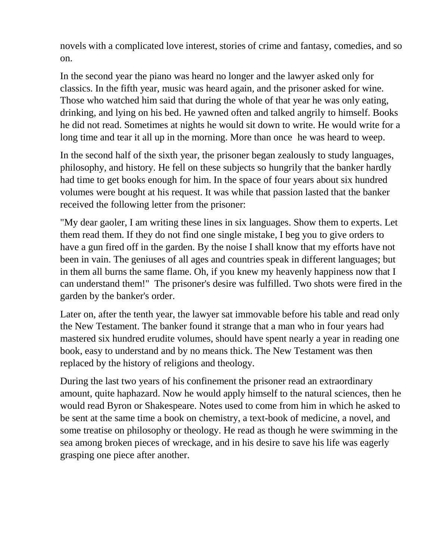novels with a complicated love interest, stories of crime and fantasy, comedies, and so on.

In the second year the piano was heard no longer and the lawyer asked only for classics. In the fifth year, music was heard again, and the prisoner asked for wine. Those who watched him said that during the whole of that year he was only eating, drinking, and lying on his bed. He yawned often and talked angrily to himself. Books he did not read. Sometimes at nights he would sit down to write. He would write for a long time and tear it all up in the morning. More than once he was heard to weep.

In the second half of the sixth year, the prisoner began zealously to study languages, philosophy, and history. He fell on these subjects so hungrily that the banker hardly had time to get books enough for him. In the space of four years about six hundred volumes were bought at his request. It was while that passion lasted that the banker received the following letter from the prisoner:

"My dear gaoler, I am writing these lines in six languages. Show them to experts. Let them read them. If they do not find one single mistake, I beg you to give orders to have a gun fired off in the garden. By the noise I shall know that my efforts have not been in vain. The geniuses of all ages and countries speak in different languages; but in them all burns the same flame. Oh, if you knew my heavenly happiness now that I can understand them!" The prisoner's desire was fulfilled. Two shots were fired in the garden by the banker's order.

Later on, after the tenth year, the lawyer sat immovable before his table and read only the New Testament. The banker found it strange that a man who in four years had mastered six hundred erudite volumes, should have spent nearly a year in reading one book, easy to understand and by no means thick. The New Testament was then replaced by the history of religions and theology.

During the last two years of his confinement the prisoner read an extraordinary amount, quite haphazard. Now he would apply himself to the natural sciences, then he would read Byron or Shakespeare. Notes used to come from him in which he asked to be sent at the same time a book on chemistry, a text-book of medicine, a novel, and some treatise on philosophy or theology. He read as though he were swimming in the sea among broken pieces of wreckage, and in his desire to save his life was eagerly grasping one piece after another.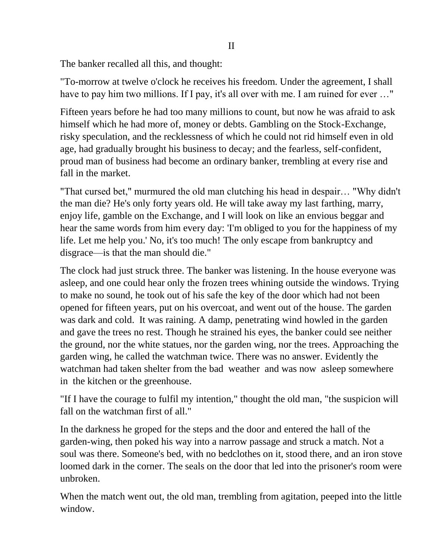The banker recalled all this, and thought:

"To-morrow at twelve o'clock he receives his freedom. Under the agreement, I shall have to pay him two millions. If I pay, it's all over with me. I am ruined for ever ..."

Fifteen years before he had too many millions to count, but now he was afraid to ask himself which he had more of, money or debts. Gambling on the Stock-Exchange, risky speculation, and the recklessness of which he could not rid himself even in old age, had gradually brought his business to decay; and the fearless, self-confident, proud man of business had become an ordinary banker, trembling at every rise and fall in the market.

"That cursed bet," murmured the old man clutching his head in despair… "Why didn't the man die? He's only forty years old. He will take away my last farthing, marry, enjoy life, gamble on the Exchange, and I will look on like an envious beggar and hear the same words from him every day: 'I'm obliged to you for the happiness of my life. Let me help you.' No, it's too much! The only escape from bankruptcy and disgrace—is that the man should die."

The clock had just struck three. The banker was listening. In the house everyone was asleep, and one could hear only the frozen trees whining outside the windows. Trying to make no sound, he took out of his safe the key of the door which had not been opened for fifteen years, put on his overcoat, and went out of the house. The garden was dark and cold. It was raining. A damp, penetrating wind howled in the garden and gave the trees no rest. Though he strained his eyes, the banker could see neither the ground, nor the white statues, nor the garden wing, nor the trees. Approaching the garden wing, he called the watchman twice. There was no answer. Evidently the watchman had taken shelter from the bad weather and was now asleep somewhere in the kitchen or the greenhouse.

"If I have the courage to fulfil my intention," thought the old man, "the suspicion will fall on the watchman first of all."

In the darkness he groped for the steps and the door and entered the hall of the garden-wing, then poked his way into a narrow passage and struck a match. Not a soul was there. Someone's bed, with no bedclothes on it, stood there, and an iron stove loomed dark in the corner. The seals on the door that led into the prisoner's room were unbroken.

When the match went out, the old man, trembling from agitation, peeped into the little window.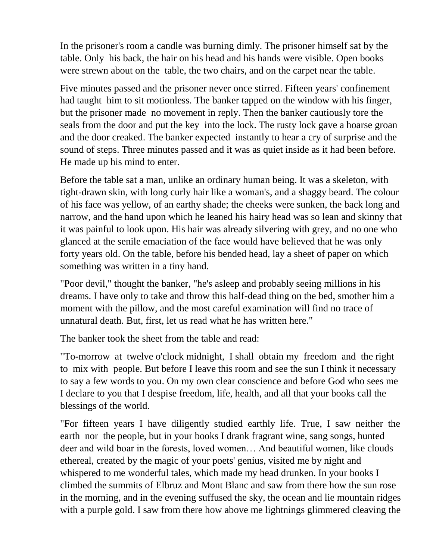In the prisoner's room a candle was burning dimly. The prisoner himself sat by the table. Only his back, the hair on his head and his hands were visible. Open books were strewn about on the table, the two chairs, and on the carpet near the table.

Five minutes passed and the prisoner never once stirred. Fifteen years' confinement had taught him to sit motionless. The banker tapped on the window with his finger, but the prisoner made no movement in reply. Then the banker cautiously tore the seals from the door and put the key into the lock. The rusty lock gave a hoarse groan and the door creaked. The banker expected instantly to hear a cry of surprise and the sound of steps. Three minutes passed and it was as quiet inside as it had been before. He made up his mind to enter.

Before the table sat a man, unlike an ordinary human being. It was a skeleton, with tight-drawn skin, with long curly hair like a woman's, and a shaggy beard. The colour of his face was yellow, of an earthy shade; the cheeks were sunken, the back long and narrow, and the hand upon which he leaned his hairy head was so lean and skinny that it was painful to look upon. His hair was already silvering with grey, and no one who glanced at the senile emaciation of the face would have believed that he was only forty years old. On the table, before his bended head, lay a sheet of paper on which something was written in a tiny hand.

"Poor devil," thought the banker, "he's asleep and probably seeing millions in his dreams. I have only to take and throw this half-dead thing on the bed, smother him a moment with the pillow, and the most careful examination will find no trace of unnatural death. But, first, let us read what he has written here."

The banker took the sheet from the table and read:

"To-morrow at twelve o'clock midnight, I shall obtain my freedom and the right to mix with people. But before I leave this room and see the sun I think it necessary to say a few words to you. On my own clear conscience and before God who sees me I declare to you that I despise freedom, life, health, and all that your books call the blessings of the world.

"For fifteen years I have diligently studied earthly life. True, I saw neither the earth nor the people, but in your books I drank fragrant wine, sang songs, hunted deer and wild boar in the forests, loved women… And beautiful women, like clouds ethereal, created by the magic of your poets' genius, visited me by night and whispered to me wonderful tales, which made my head drunken. In your books I climbed the summits of Elbruz and Mont Blanc and saw from there how the sun rose in the morning, and in the evening suffused the sky, the ocean and lie mountain ridges with a purple gold. I saw from there how above me lightnings glimmered cleaving the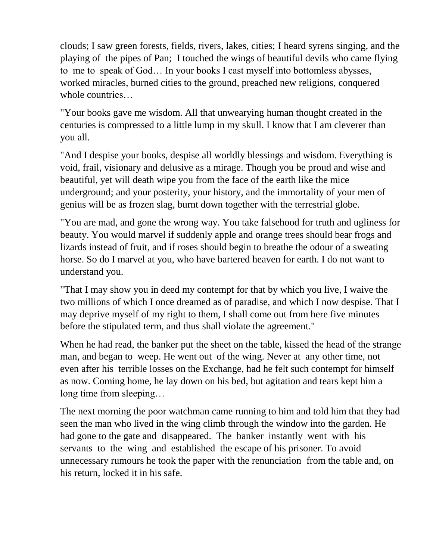clouds; I saw green forests, fields, rivers, lakes, cities; I heard syrens singing, and the playing of the pipes of Pan; I touched the wings of beautiful devils who came flying to me to speak of God… In your books I cast myself into bottomless abysses, worked miracles, burned cities to the ground, preached new religions, conquered whole countries…

"Your books gave me wisdom. All that unwearying human thought created in the centuries is compressed to a little lump in my skull. I know that I am cleverer than you all.

"And I despise your books, despise all worldly blessings and wisdom. Everything is void, frail, visionary and delusive as a mirage. Though you be proud and wise and beautiful, yet will death wipe you from the face of the earth like the mice underground; and your posterity, your history, and the immortality of your men of genius will be as frozen slag, burnt down together with the terrestrial globe.

"You are mad, and gone the wrong way. You take falsehood for truth and ugliness for beauty. You would marvel if suddenly apple and orange trees should bear frogs and lizards instead of fruit, and if roses should begin to breathe the odour of a sweating horse. So do I marvel at you, who have bartered heaven for earth. I do not want to understand you.

"That I may show you in deed my contempt for that by which you live, I waive the two millions of which I once dreamed as of paradise, and which I now despise. That I may deprive myself of my right to them, I shall come out from here five minutes before the stipulated term, and thus shall violate the agreement."

When he had read, the banker put the sheet on the table, kissed the head of the strange man, and began to weep. He went out of the wing. Never at any other time, not even after his terrible losses on the Exchange, had he felt such contempt for himself as now. Coming home, he lay down on his bed, but agitation and tears kept him a long time from sleeping…

The next morning the poor watchman came running to him and told him that they had seen the man who lived in the wing climb through the window into the garden. He had gone to the gate and disappeared. The banker instantly went with his servants to the wing and established the escape of his prisoner. To avoid unnecessary rumours he took the paper with the renunciation from the table and, on his return, locked it in his safe.